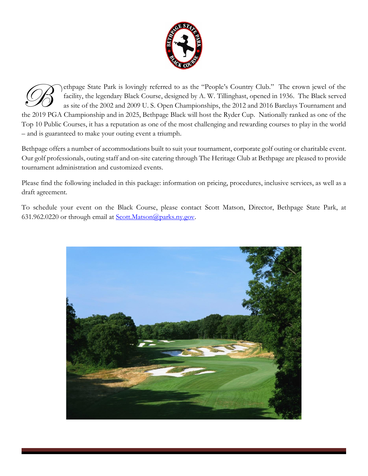

ethpage State Park is lovingly referred to as the "People's Country Club." The crown jewel of the facility, the legendary Black Course, designed by A. W. Tillinghast, opened in 1936. The Black served as site of the 2002 and 2009 U. S. Open Championships, the 2012 and 2016 Barclays Tournament and The 2019 PGA Championship and in 2025, Bethpage Black will host the Ryder Cup. Nationally ranked as one of the 2019 PGA Championship and in 2025, Bethpage Black will host the Ryder Cup. Nationally ranked as one of the  $\frac{$ Top 10 Public Courses, it has a reputation as one of the most challenging and rewarding courses to play in the world – and is guaranteed to make your outing event a triumph.

Bethpage offers a number of accommodations built to suit your tournament, corporate golf outing or charitable event. Our golf professionals, outing staff and on-site catering through The Heritage Club at Bethpage are pleased to provide tournament administration and customized events.

Please find the following included in this package: information on pricing, procedures, inclusive services, as well as a draft agreement.

To schedule your event on the Black Course, please contact Scott Matson, Director, Bethpage State Park, at 631.962.0220 or through email at [Scott.Matson@parks.ny.gov.](mailto:Scott.Matson@parks.ny.gov)

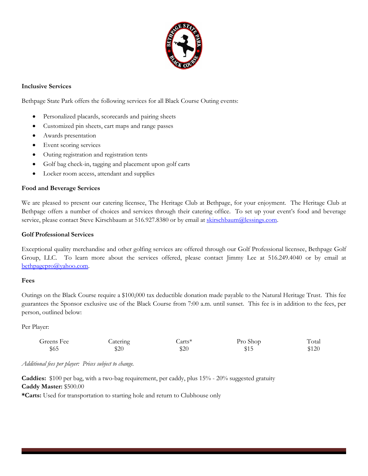

# **Inclusive Services**

Bethpage State Park offers the following services for all Black Course Outing events:

- Personalized placards, scorecards and pairing sheets
- Customized pin sheets, cart maps and range passes
- Awards presentation
- Event scoring services
- Outing registration and registration tents
- Golf bag check-in, tagging and placement upon golf carts
- Locker room access, attendant and supplies

# **Food and Beverage Services**

We are pleased to present our catering licensee, The Heritage Club at Bethpage, for your enjoyment. The Heritage Club at Bethpage offers a number of choices and services through their catering office. To set up your event's food and beverage service, please contact Steve Kirschbaum at 516.927.8380 or by email at [skirschbaum@lessings.com.](mailto:skirschbaum@lessings.com)

### **Golf Professional Services**

Exceptional quality merchandise and other golfing services are offered through our Golf Professional licensee, Bethpage Golf Group, LLC. To learn more about the services offered, please contact Jimmy Lee at 516.249.4040 or by email at [bethpagepro@yahoo.com.](mailto:bethpagepro@yahoo.com)

#### **Fees**

Outings on the Black Course require a \$100,000 tax deductible donation made payable to the Natural Heritage Trust. This fee guarantees the Sponsor exclusive use of the Black Course from 7:00 a.m. until sunset. This fee is in addition to the fees, per person, outlined below:

Per Player:

| Greens Fee | Catering | Carts* | Pro Shop | Total |
|------------|----------|--------|----------|-------|
| \$65       | \$20     | \$20   | \$15     | \$120 |

# *Additional fees per player: Prices subject to change.*

**Caddies:** \$100 per bag, with a two-bag requirement, per caddy, plus 15% - 20% suggested gratuity **Caddy Master:** \$500.00

**\*Carts:** Used for transportation to starting hole and return to Clubhouse only